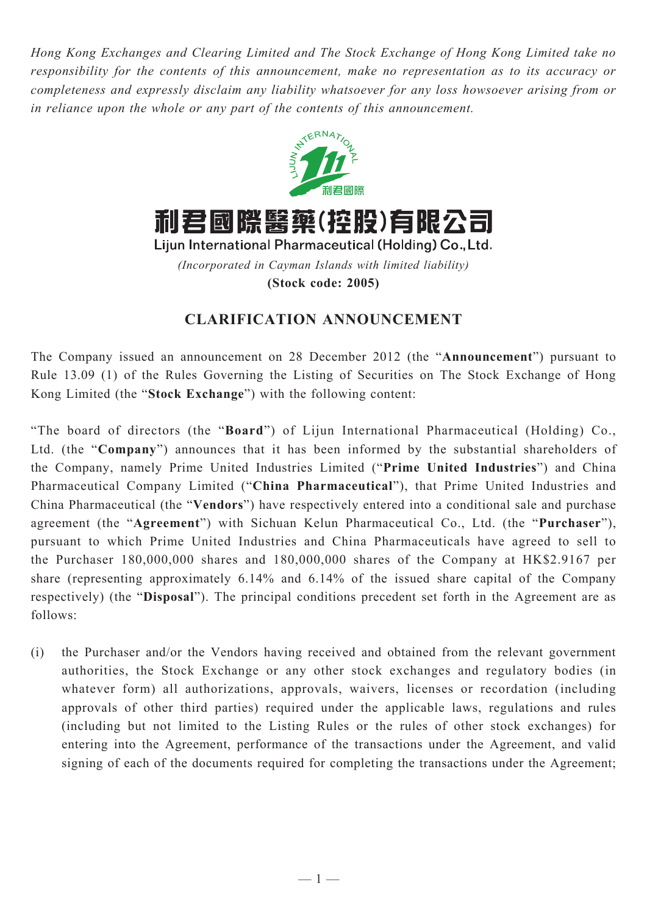*Hong Kong Exchanges and Clearing Limited and The Stock Exchange of Hong Kong Limited take no responsibility for the contents of this announcement, make no representation as to its accuracy or completeness and expressly disclaim any liability whatsoever for any loss howsoever arising from or in reliance upon the whole or any part of the contents of this announcement.*



## **CLARIFICATION ANNOUNCEMENT**

The Company issued an announcement on 28 December 2012 (the "**Announcement**") pursuant to Rule 13.09 (1) of the Rules Governing the Listing of Securities on The Stock Exchange of Hong Kong Limited (the "**Stock Exchange**") with the following content:

"The board of directors (the "**Board**") of Lijun International Pharmaceutical (Holding) Co., Ltd. (the "**Company**") announces that it has been informed by the substantial shareholders of the Company, namely Prime United Industries Limited ("**Prime United Industries**") and China Pharmaceutical Company Limited ("**China Pharmaceutical**"), that Prime United Industries and China Pharmaceutical (the "**Vendors**") have respectively entered into a conditional sale and purchase agreement (the "**Agreement**") with Sichuan Kelun Pharmaceutical Co., Ltd. (the "**Purchaser**"), pursuant to which Prime United Industries and China Pharmaceuticals have agreed to sell to the Purchaser 180,000,000 shares and 180,000,000 shares of the Company at HK\$2.9167 per share (representing approximately 6.14% and 6.14% of the issued share capital of the Company respectively) (the "**Disposal**"). The principal conditions precedent set forth in the Agreement are as follows:

(i) the Purchaser and/or the Vendors having received and obtained from the relevant government authorities, the Stock Exchange or any other stock exchanges and regulatory bodies (in whatever form) all authorizations, approvals, waivers, licenses or recordation (including approvals of other third parties) required under the applicable laws, regulations and rules (including but not limited to the Listing Rules or the rules of other stock exchanges) for entering into the Agreement, performance of the transactions under the Agreement, and valid signing of each of the documents required for completing the transactions under the Agreement;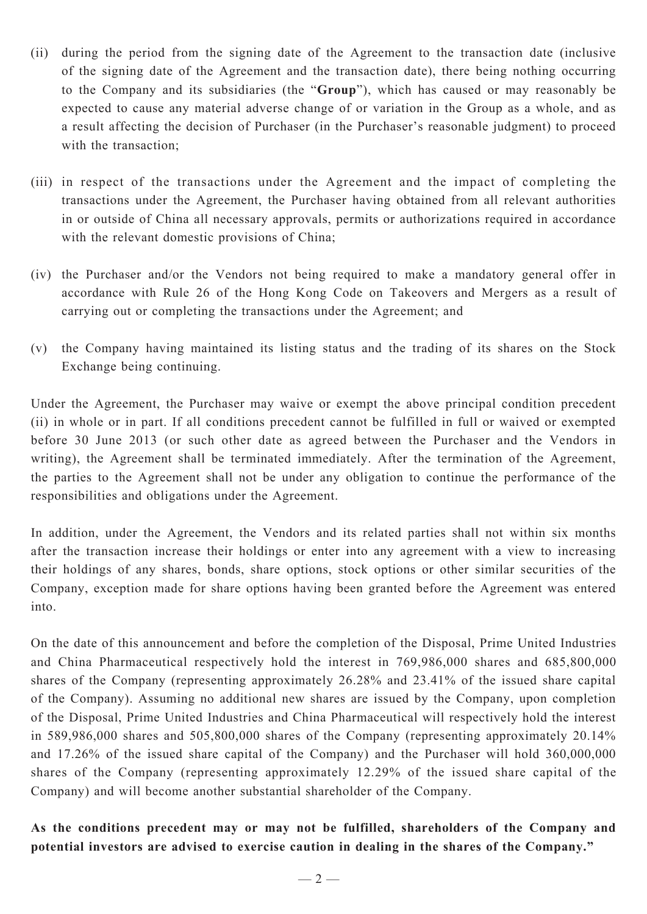- (ii) during the period from the signing date of the Agreement to the transaction date (inclusive of the signing date of the Agreement and the transaction date), there being nothing occurring to the Company and its subsidiaries (the "**Group**"), which has caused or may reasonably be expected to cause any material adverse change of or variation in the Group as a whole, and as a result affecting the decision of Purchaser (in the Purchaser's reasonable judgment) to proceed with the transaction;
- (iii) in respect of the transactions under the Agreement and the impact of completing the transactions under the Agreement, the Purchaser having obtained from all relevant authorities in or outside of China all necessary approvals, permits or authorizations required in accordance with the relevant domestic provisions of China;
- (iv) the Purchaser and/or the Vendors not being required to make a mandatory general offer in accordance with Rule 26 of the Hong Kong Code on Takeovers and Mergers as a result of carrying out or completing the transactions under the Agreement; and
- (v) the Company having maintained its listing status and the trading of its shares on the Stock Exchange being continuing.

Under the Agreement, the Purchaser may waive or exempt the above principal condition precedent (ii) in whole or in part. If all conditions precedent cannot be fulfilled in full or waived or exempted before 30 June 2013 (or such other date as agreed between the Purchaser and the Vendors in writing), the Agreement shall be terminated immediately. After the termination of the Agreement, the parties to the Agreement shall not be under any obligation to continue the performance of the responsibilities and obligations under the Agreement.

In addition, under the Agreement, the Vendors and its related parties shall not within six months after the transaction increase their holdings or enter into any agreement with a view to increasing their holdings of any shares, bonds, share options, stock options or other similar securities of the Company, exception made for share options having been granted before the Agreement was entered into.

On the date of this announcement and before the completion of the Disposal, Prime United Industries and China Pharmaceutical respectively hold the interest in 769,986,000 shares and 685,800,000 shares of the Company (representing approximately 26.28% and 23.41% of the issued share capital of the Company). Assuming no additional new shares are issued by the Company, upon completion of the Disposal, Prime United Industries and China Pharmaceutical will respectively hold the interest in 589,986,000 shares and 505,800,000 shares of the Company (representing approximately 20.14% and 17.26% of the issued share capital of the Company) and the Purchaser will hold 360,000,000 shares of the Company (representing approximately 12.29% of the issued share capital of the Company) and will become another substantial shareholder of the Company.

**As the conditions precedent may or may not be fulfilled, shareholders of the Company and potential investors are advised to exercise caution in dealing in the shares of the Company."**